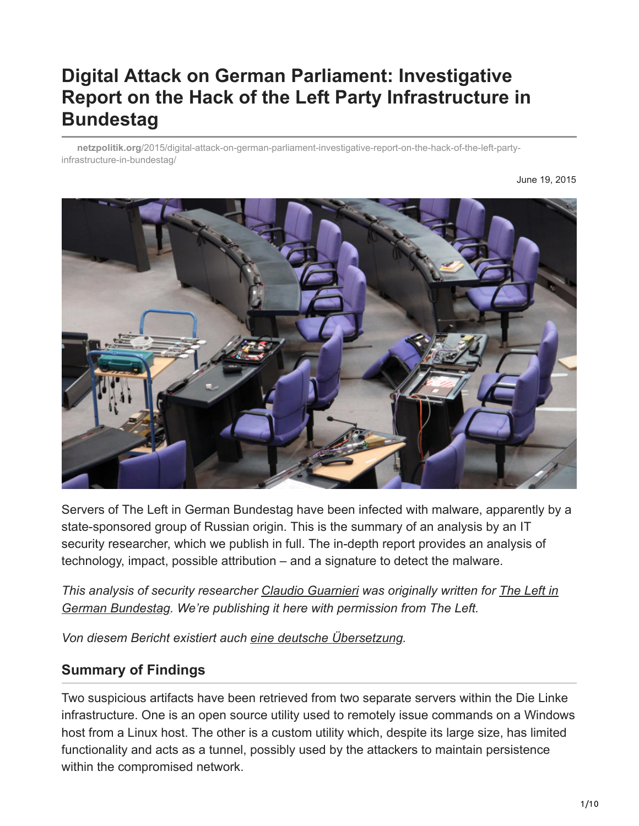# **Digital Attack on German Parliament: Investigative Report on the Hack of the Left Party Infrastructure in Bundestag**

**netzpolitik.org**[/2015/digital-attack-on-german-parliament-investigative-report-on-the-hack-of-the-left-party](https://netzpolitik.org/2015/digital-attack-on-german-parliament-investigative-report-on-the-hack-of-the-left-party-infrastructure-in-bundestag/)infrastructure-in-bundestag/

June 19, 2015



Servers of The Left in German Bundestag have been infected with malware, apparently by a state-sponsored group of Russian origin. This is the summary of an analysis by an IT security researcher, which we publish in full. The in-depth report provides an analysis of technology, impact, possible attribution – and a signature to detect the malware.

*[This analysis of security researcher Claudio Guarnieri was originally written for The Left in](http://linksfraktion.de/) German Bundestag. We're publishing it here with permission from The Left.*

*Von diesem Bericht existiert auch [eine deutsche Übersetzung](https://netzpolitik.org/2015/digitaler-angriff-auf-den-bundestag-investigativer-bericht-zum-hack-der-it-infrastruktur-der-linksfraktion/).*

# **Summary of Findings**

Two suspicious artifacts have been retrieved from two separate servers within the Die Linke infrastructure. One is an open source utility used to remotely issue commands on a Windows host from a Linux host. The other is a custom utility which, despite its large size, has limited functionality and acts as a tunnel, possibly used by the attackers to maintain persistence within the compromised network.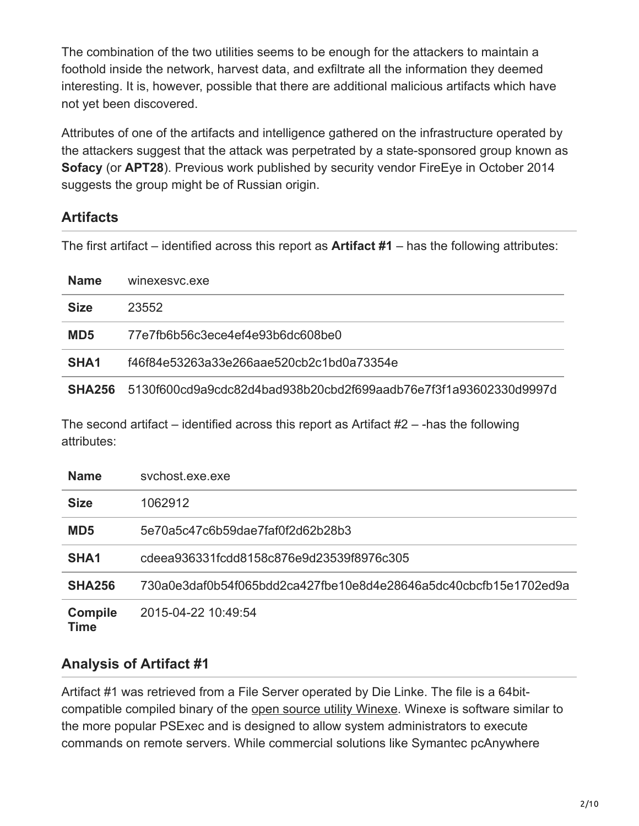The combination of the two utilities seems to be enough for the attackers to maintain a foothold inside the network, harvest data, and exfiltrate all the information they deemed interesting. It is, however, possible that there are additional malicious artifacts which have not yet been discovered.

Attributes of one of the artifacts and intelligence gathered on the infrastructure operated by the attackers suggest that the attack was perpetrated by a state-sponsored group known as **Sofacy** (or **APT28**). Previous work published by security vendor FireEye in October 2014 suggests the group might be of Russian origin.

# **Artifacts**

The first artifact – identified across this report as **Artifact #1** – has the following attributes:

| <b>Name</b>        | winexesyc.exe                                                    |  |
|--------------------|------------------------------------------------------------------|--|
| <b>Size</b>        | 23552                                                            |  |
| MD <sub>5</sub>    | 77e7fb6b56c3ece4ef4e93b6dc608be0                                 |  |
| SHA <sub>1</sub>   | f46f84e53263a33e266aae520cb2c1bd0a73354e                         |  |
| SHA <sub>256</sub> | 5130f600cd9a9cdc82d4bad938b20cbd2f699aadb76e7f3f1a93602330d9997d |  |

The second artifact – identified across this report as Artifact  $#2 -$ -has the following attributes:

| <b>Name</b>            | sychost.exe.exe                                                  |
|------------------------|------------------------------------------------------------------|
| <b>Size</b>            | 1062912                                                          |
| MD <sub>5</sub>        | 5e70a5c47c6b59dae7faf0f2d62b28b3                                 |
| SHA <sub>1</sub>       | cdeea936331fcdd8158c876e9d23539f8976c305                         |
| <b>SHA256</b>          | 730a0e3daf0b54f065bdd2ca427fbe10e8d4e28646a5dc40cbcfb15e1702ed9a |
| <b>Compile</b><br>Time | 2015-04-22 10:49:54                                              |

# **Analysis of Artifact #1**

Artifact #1 was retrieved from a File Server operated by Die Linke. The file is a 64bitcompatible compiled binary of the [open source utility Winexe](https://github.com/skalkoto/winexe/). Winexe is software similar to the more popular PSExec and is designed to allow system administrators to execute commands on remote servers. While commercial solutions like Symantec pcAnywhere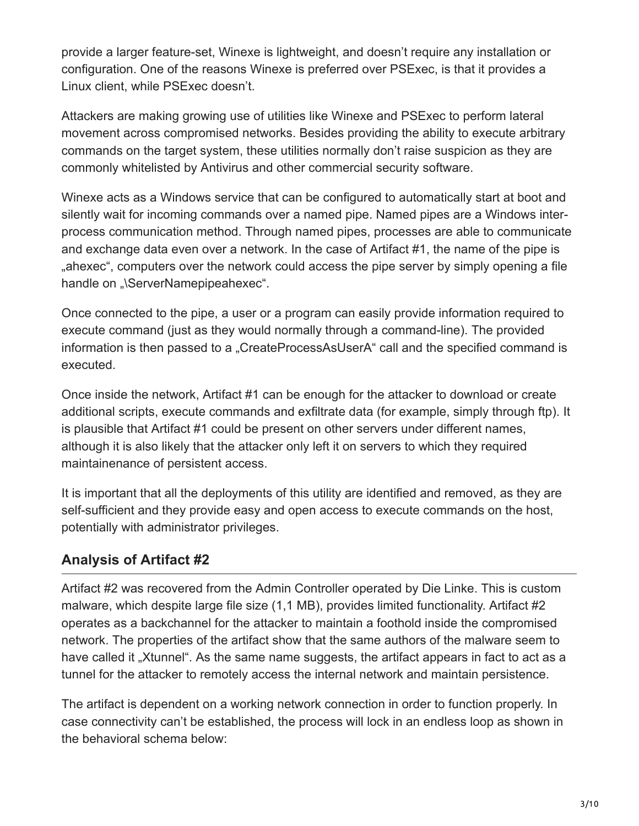provide a larger feature-set, Winexe is lightweight, and doesn't require any installation or configuration. One of the reasons Winexe is preferred over PSExec, is that it provides a Linux client, while PSExec doesn't.

Attackers are making growing use of utilities like Winexe and PSExec to perform lateral movement across compromised networks. Besides providing the ability to execute arbitrary commands on the target system, these utilities normally don't raise suspicion as they are commonly whitelisted by Antivirus and other commercial security software.

Winexe acts as a Windows service that can be configured to automatically start at boot and silently wait for incoming commands over a named pipe. Named pipes are a Windows interprocess communication method. Through named pipes, processes are able to communicate and exchange data even over a network. In the case of Artifact #1, the name of the pipe is ahexec", computers over the network could access the pipe server by simply opening a file handle on "\ServerNamepipeahexec".

Once connected to the pipe, a user or a program can easily provide information required to execute command (just as they would normally through a command-line). The provided information is then passed to a "CreateProcessAsUserA" call and the specified command is executed.

Once inside the network, Artifact #1 can be enough for the attacker to download or create additional scripts, execute commands and exfiltrate data (for example, simply through ftp). It is plausible that Artifact #1 could be present on other servers under different names, although it is also likely that the attacker only left it on servers to which they required maintainenance of persistent access.

It is important that all the deployments of this utility are identified and removed, as they are self-sufficient and they provide easy and open access to execute commands on the host, potentially with administrator privileges.

# **Analysis of Artifact #2**

Artifact #2 was recovered from the Admin Controller operated by Die Linke. This is custom malware, which despite large file size (1,1 MB), provides limited functionality. Artifact #2 operates as a backchannel for the attacker to maintain a foothold inside the compromised network. The properties of the artifact show that the same authors of the malware seem to have called it "Xtunnel". As the same name suggests, the artifact appears in fact to act as a tunnel for the attacker to remotely access the internal network and maintain persistence.

The artifact is dependent on a working network connection in order to function properly. In case connectivity can't be established, the process will lock in an endless loop as shown in the behavioral schema below: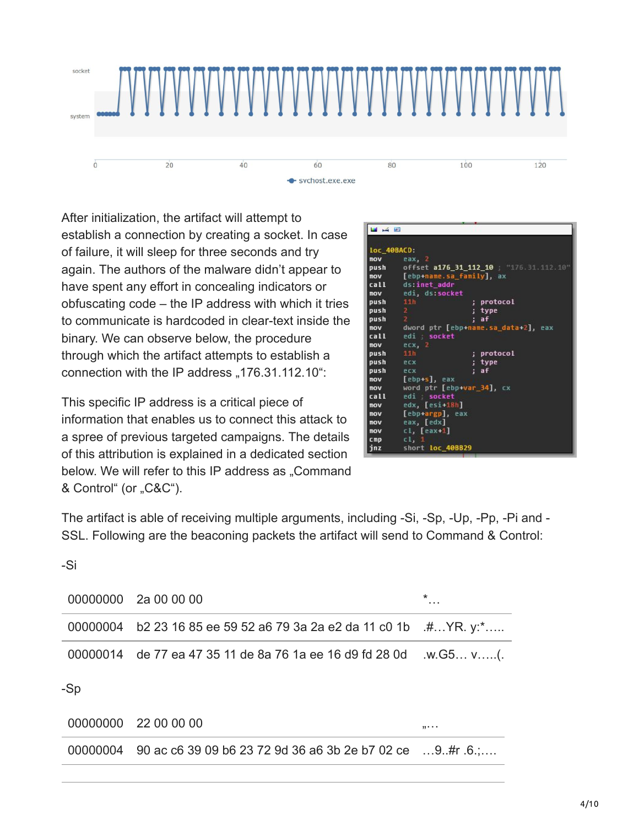

After initialization, the artifact will attempt to establish a connection by creating a socket. In case of failure, it will sleep for three seconds and try again. The authors of the malware didn't appear to have spent any effort in concealing indicators or obfuscating code – the IP address with which it tries to communicate is hardcoded in clear-text inside the binary. We can observe below, the procedure through which the artifact attempts to establish a connection with the IP address  $,176.31.112.10$ ":

This specific IP address is a critical piece of information that enables us to connect this attack to a spree of previous targeted campaigns. The details of this attribution is explained in a dedicated section below. We will refer to this IP address as "Command & Control" (or "C&C").

| 四声                |                                       |                                         |  |
|-------------------|---------------------------------------|-----------------------------------------|--|
|                   |                                       |                                         |  |
| loc 40BACD:       |                                       |                                         |  |
| nov               | еах, 2                                |                                         |  |
| push              | offset a176 31 112 10 "176.31.112.10" |                                         |  |
| mov               | [ebp+name.sa family], ax              |                                         |  |
|                   | call ds:inet_addr                     |                                         |  |
|                   | mov edi, ds:socket                    |                                         |  |
| push              | 11h<br>; protocol                     |                                         |  |
| push 2            | ; type                                |                                         |  |
| push <sub>2</sub> | : af                                  |                                         |  |
|                   |                                       | nov dword ptr [ebp+name.sa data+2], eax |  |
| call              | edi socket                            |                                         |  |
| nov               | $exc$ , $2$                           |                                         |  |
| push              | 11h<br>; protocol                     |                                         |  |
| push ecx          | ; type                                |                                         |  |
| push ecx          | : af                                  |                                         |  |
| <b>nov</b>        | [ebp+s], eax                          |                                         |  |
| mov               | word ptr [ebp+var_34], cx             |                                         |  |
| cal1              | edi socket                            |                                         |  |
| nov               | edx, [esi-18h]                        |                                         |  |
| mov               | [ebp+argp], eax                       |                                         |  |
| nov               | eax, [edx]                            |                                         |  |
| mov               | $cl, [eax-1]$                         |                                         |  |
| cmp.              | c1, 1                                 |                                         |  |
| jnz               | short loc_40BB29                      |                                         |  |

The artifact is able of receiving multiple arguments, including -Si, -Sp, -Up, -Pp, -Pi and -SSL. Following are the beaconing packets the artifact will send to Command & Control:

#### -Si

| 00000000 2a 00 00 00                                                   | $\star$ |
|------------------------------------------------------------------------|---------|
| 00000004 b2 23 16 85 ee 59 52 a6 79 3a 2a e2 da 11 c0 1b $\,$ #YR. y:* |         |
|                                                                        |         |
|                                                                        |         |

-Sp

| 00000000 22 00 00 00                                                      | ,,,,, |
|---------------------------------------------------------------------------|-------|
| 00000004 90 ac c6 39 09 b6 23 72 9d 36 a6 3b 2e b7 02 ce $\dots$ 9#r .6.; |       |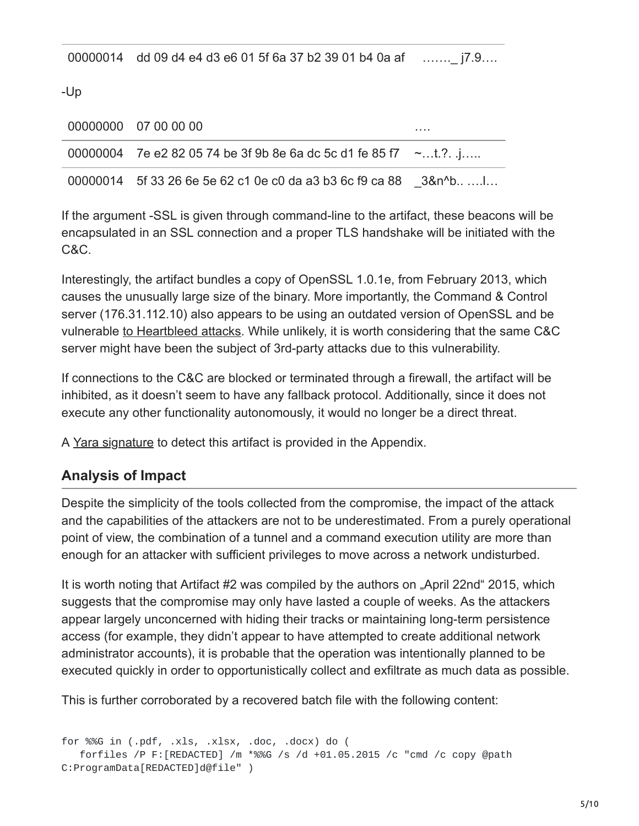00000014 dd 09 d4 e4 d3 e6 01 5f 6a 37 b2 39 01 b4 0a af …….\_ j7.9….

-Up

| 00000000 07 00 00 00                                                 | . |
|----------------------------------------------------------------------|---|
| 00000004 7e e2 82 05 74 be 3f 9b 8e 6a dc 5c d1 fe 85 f7 $\sim$ t.?. |   |
| 00000014 5f 33 26 6e 5e 62 c1 0e c0 da a3 b3 6c f9 ca 88 3&n^b       |   |

If the argument -SSL is given through command-line to the artifact, these beacons will be encapsulated in an SSL connection and a proper TLS handshake will be initiated with the C&C.

Interestingly, the artifact bundles a copy of OpenSSL 1.0.1e, from February 2013, which causes the unusually large size of the binary. More importantly, the Command & Control server (176.31.112.10) also appears to be using an outdated version of OpenSSL and be vulnerable [to Heartbleed attacks](http://www.zoomeye.org/lab/heartbleed/2015?port=&code=FR&p=6). While unlikely, it is worth considering that the same C&C server might have been the subject of 3rd-party attacks due to this vulnerability.

If connections to the C&C are blocked or terminated through a firewall, the artifact will be inhibited, as it doesn't seem to have any fallback protocol. Additionally, since it does not execute any other functionality autonomously, it would no longer be a direct threat.

A [Yara signature](https://plusvic.github.io/yara/) to detect this artifact is provided in the Appendix.

# **Analysis of Impact**

Despite the simplicity of the tools collected from the compromise, the impact of the attack and the capabilities of the attackers are not to be underestimated. From a purely operational point of view, the combination of a tunnel and a command execution utility are more than enough for an attacker with sufficient privileges to move across a network undisturbed.

It is worth noting that Artifact #2 was compiled by the authors on "April 22nd" 2015, which suggests that the compromise may only have lasted a couple of weeks. As the attackers appear largely unconcerned with hiding their tracks or maintaining long-term persistence access (for example, they didn't appear to have attempted to create additional network administrator accounts), it is probable that the operation was intentionally planned to be executed quickly in order to opportunistically collect and exfiltrate as much data as possible.

This is further corroborated by a recovered batch file with the following content:

```
for %%G in (.pdf, .xls, .xlsx, .doc, .docx) do (
   forfiles /P F:[REDACTED] /m *%%G /s /d +01.05.2015 /c "cmd /c copy @path
C:ProgramData[REDACTED]d@file" )
```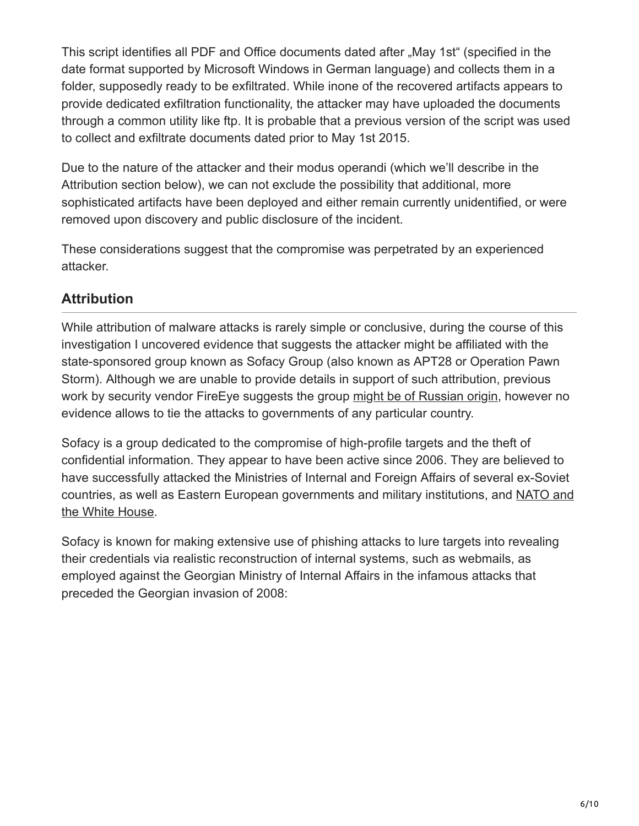This script identifies all PDF and Office documents dated after "May 1st" (specified in the date format supported by Microsoft Windows in German language) and collects them in a folder, supposedly ready to be exfiltrated. While inone of the recovered artifacts appears to provide dedicated exfiltration functionality, the attacker may have uploaded the documents through a common utility like ftp. It is probable that a previous version of the script was used to collect and exfiltrate documents dated prior to May 1st 2015.

Due to the nature of the attacker and their modus operandi (which we'll describe in the Attribution section below), we can not exclude the possibility that additional, more sophisticated artifacts have been deployed and either remain currently unidentified, or were removed upon discovery and public disclosure of the incident.

These considerations suggest that the compromise was perpetrated by an experienced attacker.

# **Attribution**

While attribution of malware attacks is rarely simple or conclusive, during the course of this investigation I uncovered evidence that suggests the attacker might be affiliated with the state-sponsored group known as Sofacy Group (also known as APT28 or Operation Pawn Storm). Although we are unable to provide details in support of such attribution, previous work by security vendor FireEye suggests the group [might be of Russian origin](https://www.fireeye.com/resources/pdfs/apt28.pdf), however no evidence allows to tie the attacks to governments of any particular country.

Sofacy is a group dedicated to the compromise of high-profile targets and the theft of confidential information. They appear to have been active since 2006. They are believed to have successfully attacked the Ministries of Internal and Foreign Affairs of several ex-Soviet [countries, as well as Eastern European governments and military institutions, and NATO and](http://blog.trendmicro.com/trendlabs-security-intelligence/operation-pawn-storm-ramps-up-its-activities-targets-nato-white-house/) the White House.

Sofacy is known for making extensive use of phishing attacks to lure targets into revealing their credentials via realistic reconstruction of internal systems, such as webmails, as employed against the Georgian Ministry of Internal Affairs in the infamous attacks that preceded the Georgian invasion of 2008: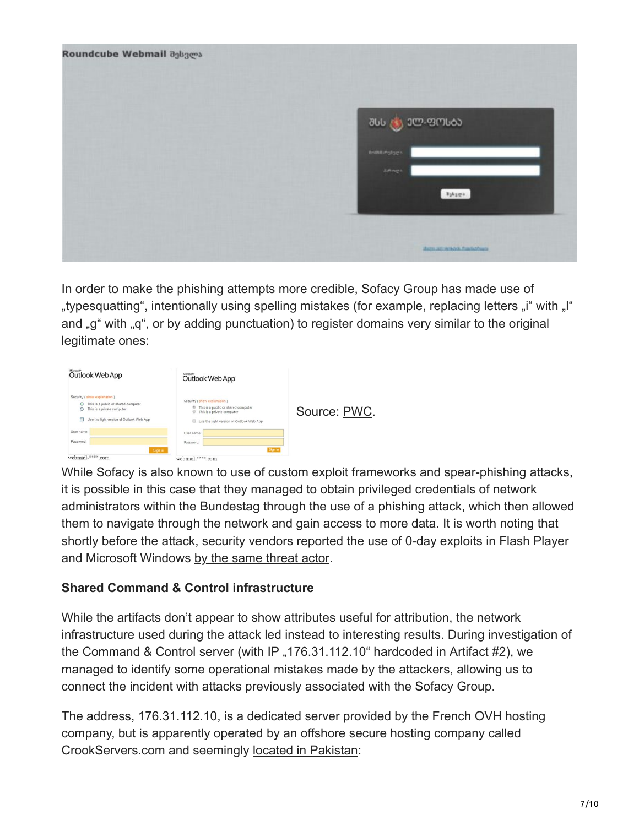| Roundcube Webmail agbgess |                                     |
|---------------------------|-------------------------------------|
|                           | <b>JUL 300-90060</b>                |
|                           | matingage                           |
|                           | Jahnen.<br>$x_3x_3x_4$              |
|                           |                                     |
|                           | Warren wir wirk both Provision News |

In order to make the phishing attempts more credible, Sofacy Group has made use of "typesquatting", intentionally using spelling mistakes (for example, replacing letters "i" with "" and "g" with "g", or by adding punctuation) to register domains very similar to the original legitimate ones:

| Outlook Web App                                                                                                                                        | Outlook Web App                                                                                                                                           |              |
|--------------------------------------------------------------------------------------------------------------------------------------------------------|-----------------------------------------------------------------------------------------------------------------------------------------------------------|--------------|
| Security (show explanation)<br>This is a public or shared computer<br>◉<br>C<br>This is a private computer<br>Use the light version of Outlook Web App | Security (show explanation)<br><sup>®</sup> This is a public or shared computer<br>This is a private computer<br>Use the light version of Outlook Web App | Source: PWC. |
| User name:                                                                                                                                             | User name:                                                                                                                                                |              |
| Password:                                                                                                                                              | Password:                                                                                                                                                 |              |
| Sign in<br>webmail-****.com                                                                                                                            | Sign in<br>webmail.****.com                                                                                                                               |              |

While Sofacy is also known to use of custom exploit frameworks and spear-phishing attacks, it is possible in this case that they managed to obtain privileged credentials of network administrators within the Bundestag through the use of a phishing attack, which then allowed them to navigate through the network and gain access to more data. It is worth noting that shortly before the attack, security vendors reported the use of 0-day exploits in Flash Player and Microsoft Windows [by the same threat actor.](https://www.fireeye.com/blog/threat-research/2015/04/probable_apt28_useo.html)

### **Shared Command & Control infrastructure**

While the artifacts don't appear to show attributes useful for attribution, the network infrastructure used during the attack led instead to interesting results. During investigation of the Command & Control server (with IP  $,176.31.112.10$  hardcoded in Artifact #2), we managed to identify some operational mistakes made by the attackers, allowing us to connect the incident with attacks previously associated with the Sofacy Group.

The address, 176.31.112.10, is a dedicated server provided by the French OVH hosting company, but is apparently operated by an offshore secure hosting company called CrookServers.com and seemingly [located in Pakistan](http://www.crookservers.com/support-information.php):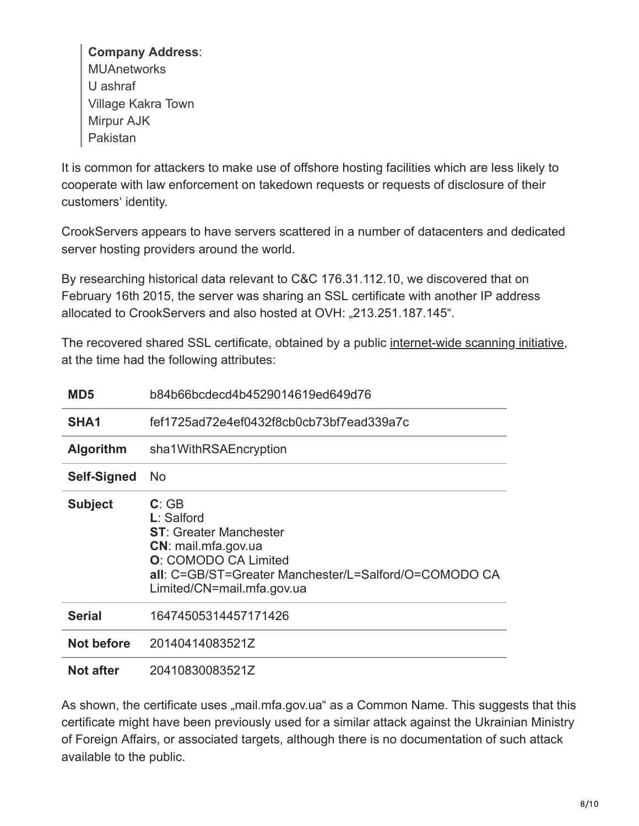#### **Company Address**:

**MUAnetworks** U ashraf Village Kakra Town Mirpur AJK Pakistan

It is common for attackers to make use of offshore hosting facilities which are less likely to cooperate with law enforcement on takedown requests or requests of disclosure of their customers' identity.

CrookServers appears to have servers scattered in a number of datacenters and dedicated server hosting providers around the world.

By researching historical data relevant to C&C 176.31.112.10, we discovered that on February 16th 2015, the server was sharing an SSL certificate with another IP address allocated to CrookServers and also hosted at OVH: "213.251.187.145".

The recovered shared SSL certificate, obtained by a public [internet-wide scanning initiative,](http://www.scans.io/) at the time had the following attributes:

| MD <sub>5</sub>    | b84b66bcdecd4b4529014619ed649d76                                                                                                                                                                    |
|--------------------|-----------------------------------------------------------------------------------------------------------------------------------------------------------------------------------------------------|
| SHA <sub>1</sub>   | fef1725ad72e4ef0432f8cb0cb73bf7ead339a7c                                                                                                                                                            |
| <b>Algorithm</b>   | sha1WithRSAEncryption                                                                                                                                                                               |
| <b>Self-Signed</b> | No.                                                                                                                                                                                                 |
| <b>Subject</b>     | C: GB<br>$L:$ Salford<br><b>ST:</b> Greater Manchester<br>CN: mail.mfa.gov.ua<br><b>O:</b> COMODO CA Limited<br>all: C=GB/ST=Greater Manchester/L=Salford/O=COMODO CA<br>Limited/CN=mail.mfa.gov.ua |
| <b>Serial</b>      | 16474505314457171426                                                                                                                                                                                |
| Not before         | 20140414083521Z                                                                                                                                                                                     |
| <b>Not after</b>   | 20410830083521Z                                                                                                                                                                                     |

As shown, the certificate uses "mail.mfa.gov.ua" as a Common Name. This suggests that this certificate might have been previously used for a similar attack against the Ukrainian Ministry of Foreign Affairs, or associated targets, although there is no documentation of such attack available to the public.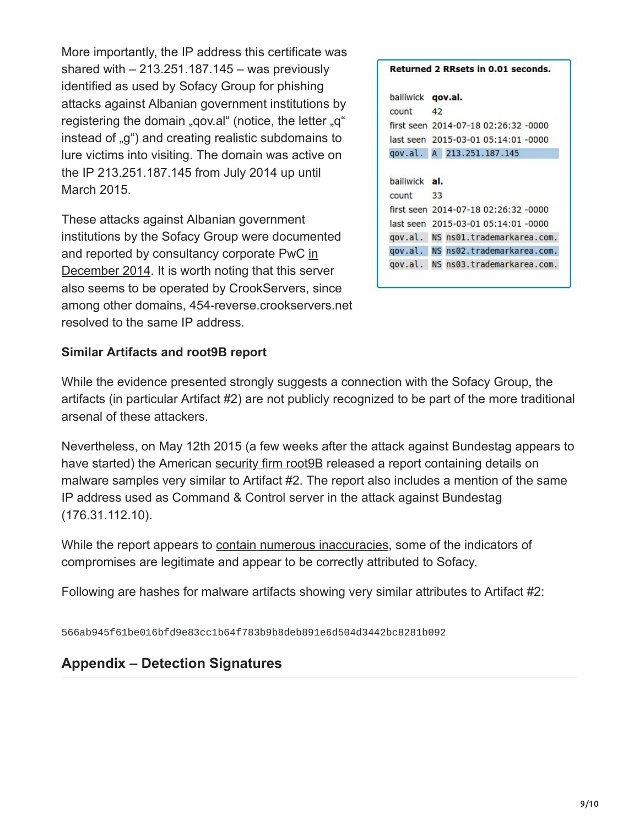More importantly, the IP address this certificate was shared with  $-213.251.187.145 - was previously$ identified as used by Sofacy Group for phishing attacks against Albanian government institutions by registering the domain "gov.al" (notice, the letter "g" instead of  $\alpha$ <sup>"</sup>) and creating realistic subdomains to lure victims into visiting. The domain was active on the IP 213.251.187.145 from July 2014 up until March 2015.

These attacks against Albanian government institutions by the Sofacy Group were documented [and reported by consultancy corporate PwC in](http://pwc.blogs.com/cyber_security_updates/2014/12/apt28-sofacy-so-funny.html) December 2014. It is worth noting that this server also seems to be operated by CrookServers, since among other domains, 454-reverse.crookservers.net resolved to the same IP address.

|                          | <b>Returned 2 RRsets in 0.01 seconds.</b> |
|--------------------------|-------------------------------------------|
| bailiwick <b>qov.al.</b> |                                           |
| count                    | 42                                        |
|                          | first seen 2014-07-18 02:26:32 -0000      |
|                          | last seen 2015-03-01 05:14:01 -0000       |
|                          | gov.al. A 213.251.187.145                 |
| bailiwick al.            |                                           |
| count                    | 33                                        |
|                          | first seen 2014-07-18 02:26:32 -0000      |
|                          | last seen 2015-03-01 05:14:01 -0000       |
| gov.al.                  | NS ns01.trademarkarea.com.                |
|                          | gov.al. NS ns02.trademarkarea.com.        |
| gov.al.                  | NS ns03.trademarkarea.com.                |

#### **Similar Artifacts and root9B report**

While the evidence presented strongly suggests a connection with the Sofacy Group, the artifacts (in particular Artifact #2) are not publicly recognized to be part of the more traditional arsenal of these attackers.

Nevertheless, on May 12th 2015 (a few weeks after the attack against Bundestag appears to have started) the American security firm root **9B** released a report containing details on malware samples very similar to Artifact #2. The report also includes a mention of the same IP address used as Command & Control server in the attack against Bundestag (176.31.112.10).

While the report appears to [contain numerous inaccuracies,](http://krebsonsecurity.com/2015/05/security-firm-redefines-apt-african-phishing-threat/) some of the indicators of compromises are legitimate and appear to be correctly attributed to Sofacy.

Following are hashes for malware artifacts showing very similar attributes to Artifact #2:

566ab945f61be016bfd9e83cc1b64f783b9b8deb891e6d504d3442bc8281b092

### **Appendix – Detection Signatures**